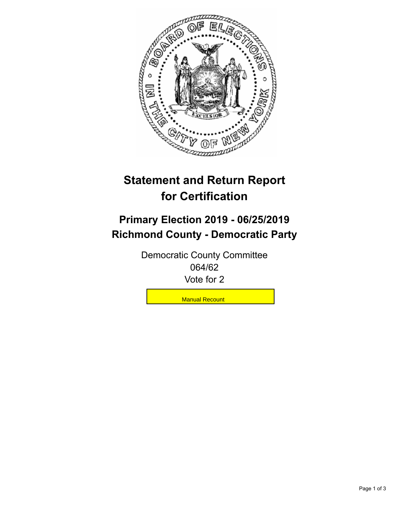

## **Statement and Return Report for Certification**

## **Primary Election 2019 - 06/25/2019 Richmond County - Democratic Party**

Democratic County Committee 064/62 Vote for 2

**Manual Recount**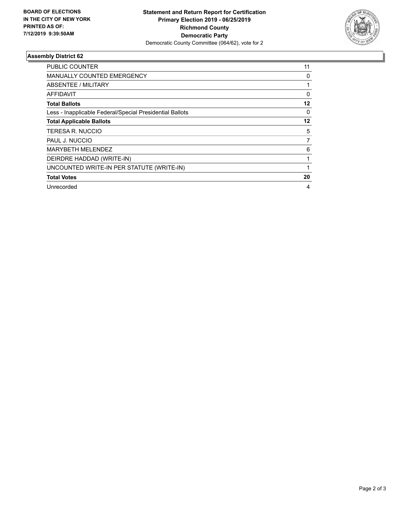

## **Assembly District 62**

| <b>PUBLIC COUNTER</b>                                    | 11 |
|----------------------------------------------------------|----|
| MANUALLY COUNTED EMERGENCY                               | 0  |
| ABSENTEE / MILITARY                                      |    |
| AFFIDAVIT                                                | 0  |
| <b>Total Ballots</b>                                     | 12 |
| Less - Inapplicable Federal/Special Presidential Ballots | 0  |
| <b>Total Applicable Ballots</b>                          | 12 |
| <b>TERESA R. NUCCIO</b>                                  | 5  |
| PAUL J. NUCCIO                                           | 7  |
| MARYBETH MELENDEZ                                        | 6  |
| DEIRDRE HADDAD (WRITE-IN)                                |    |
| UNCOUNTED WRITE-IN PER STATUTE (WRITE-IN)                |    |
| <b>Total Votes</b>                                       | 20 |
| Unrecorded                                               | 4  |